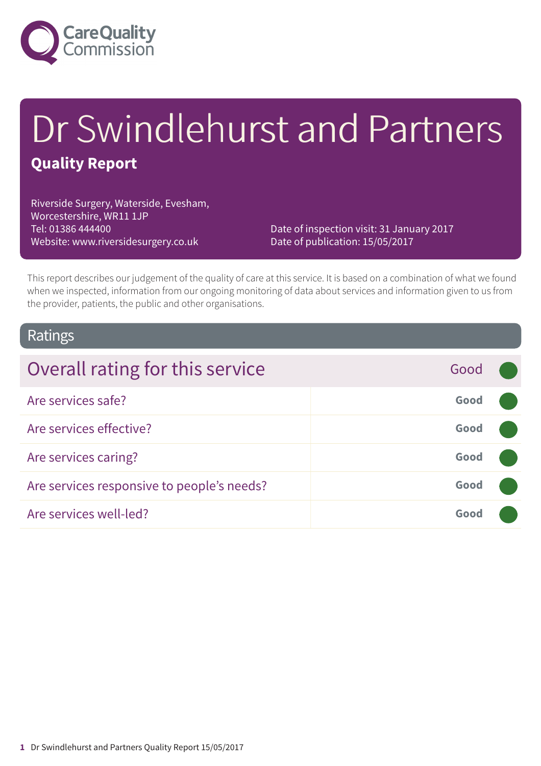

# Dr Swindlehurst and Partners

### **Quality Report**

Riverside Surgery, Waterside, Evesham, Worcestershire, WR11 1JP Tel: 01386 444400 Website: www.riversidesurgery.co.uk

Date of inspection visit: 31 January 2017 Date of publication: 15/05/2017

This report describes our judgement of the quality of care at this service. It is based on a combination of what we found when we inspected, information from our ongoing monitoring of data about services and information given to us from the provider, patients, the public and other organisations.

### Ratings

| Overall rating for this service            | Good |  |
|--------------------------------------------|------|--|
| Are services safe?                         | Good |  |
| Are services effective?                    | Good |  |
| Are services caring?                       | Good |  |
| Are services responsive to people's needs? | Good |  |
| Are services well-led?                     | Good |  |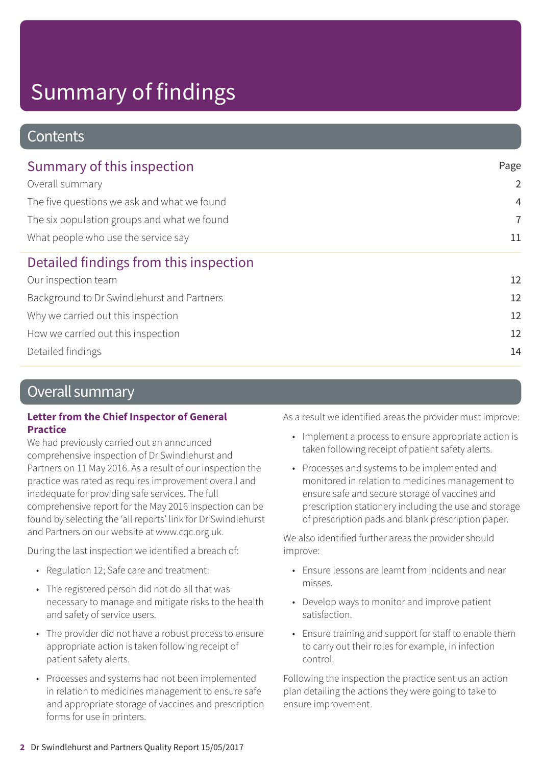### **Contents**

| Summary of this inspection                  | Page           |
|---------------------------------------------|----------------|
| Overall summary                             | $\overline{2}$ |
| The five questions we ask and what we found | $\overline{4}$ |
| The six population groups and what we found | $\overline{7}$ |
| What people who use the service say         | 11             |
| Detailed findings from this inspection      |                |
| Our inspection team                         | 12             |
| Background to Dr Swindlehurst and Partners  | 12             |
| Why we carried out this inspection          | 12             |
| How we carried out this inspection          | 12             |
| Detailed findings                           | 14             |
|                                             |                |

### Overall summary

#### **Letter from the Chief Inspector of General Practice**

We had previously carried out an announced comprehensive inspection of Dr Swindlehurst and Partners on 11 May 2016. As a result of our inspection the practice was rated as requires improvement overall and inadequate for providing safe services. The full comprehensive report for the May 2016 inspection can be found by selecting the 'all reports' link for Dr Swindlehurst and Partners on our website at www.cqc.org.uk.

During the last inspection we identified a breach of:

- Regulation 12; Safe care and treatment:
- The registered person did not do all that was necessary to manage and mitigate risks to the health and safety of service users.
- The provider did not have a robust process to ensure appropriate action is taken following receipt of patient safety alerts.
- Processes and systems had not been implemented in relation to medicines management to ensure safe and appropriate storage of vaccines and prescription forms for use in printers.

As a result we identified areas the provider must improve:

- Implement a process to ensure appropriate action is taken following receipt of patient safety alerts.
- Processes and systems to be implemented and monitored in relation to medicines management to ensure safe and secure storage of vaccines and prescription stationery including the use and storage of prescription pads and blank prescription paper.

We also identified further areas the provider should improve:

- Ensure lessons are learnt from incidents and near misses.
- Develop ways to monitor and improve patient satisfaction.
- Ensure training and support for staff to enable them to carry out their roles for example, in infection control.

Following the inspection the practice sent us an action plan detailing the actions they were going to take to ensure improvement.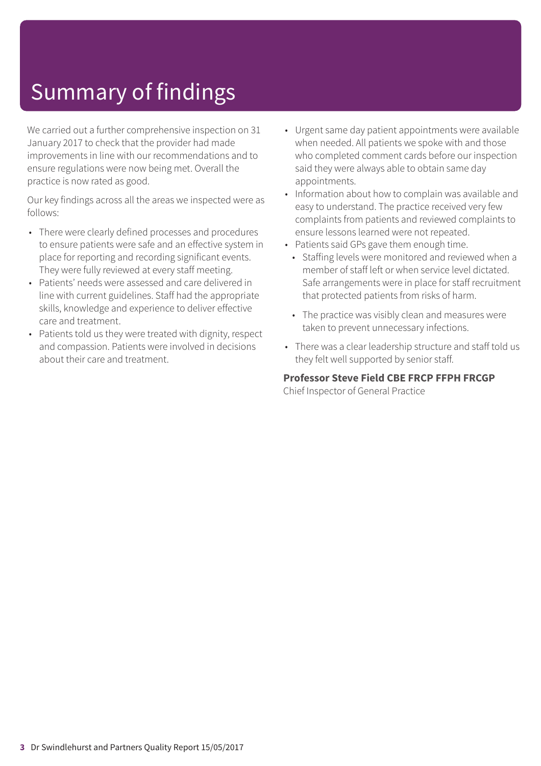We carried out a further comprehensive inspection on 31 January 2017 to check that the provider had made improvements in line with our recommendations and to ensure regulations were now being met. Overall the practice is now rated as good.

Our key findings across all the areas we inspected were as follows:

- There were clearly defined processes and procedures to ensure patients were safe and an effective system in place for reporting and recording significant events. They were fully reviewed at every staff meeting.
- Patients' needs were assessed and care delivered in line with current guidelines. Staff had the appropriate skills, knowledge and experience to deliver effective care and treatment.
- Patients told us they were treated with dignity, respect and compassion. Patients were involved in decisions about their care and treatment.
- Urgent same day patient appointments were available when needed. All patients we spoke with and those who completed comment cards before our inspection said they were always able to obtain same day appointments.
- Information about how to complain was available and easy to understand. The practice received very few complaints from patients and reviewed complaints to ensure lessons learned were not repeated.
- Patients said GPs gave them enough time.
	- Staffing levels were monitored and reviewed when a member of staff left or when service level dictated. Safe arrangements were in place for staff recruitment that protected patients from risks of harm.
	- The practice was visibly clean and measures were taken to prevent unnecessary infections.
- There was a clear leadership structure and staff told us they felt well supported by senior staff.

#### **Professor Steve Field CBE FRCP FFPH FRCGP** Chief Inspector of General Practice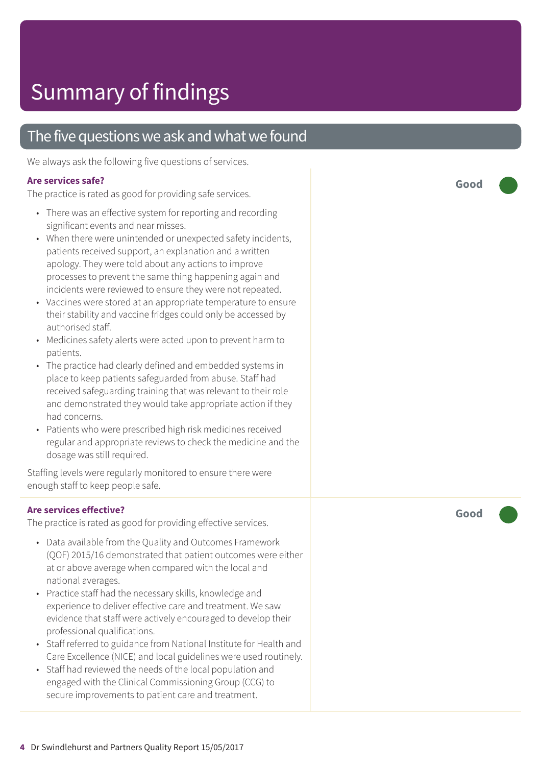### The five questions we ask and what we found

We always ask the following five questions of services.

#### **Ar e services safe ?**

The practic e is rated as good for providing saf e services.

- There was an effective system for reporting and recording significant events and near misses.
- When ther e wer e unintended or unexpected saf ety incidents, patients received support , an explanation and a written apology. The y wer e told about any actions t o improve processes to prevent the same thing happening again and incidents were reviewed to ensure they were not repeated.
- Vaccines were stored at an appropriate temperature to ensure their stability and vaccine fridges could only be ac cessed by authorised staff.
- Medicines safety alerts were acted upon to prevent harm to patients.
- The practic e had clearly defined and embedded systems in plac e t o keep patients saf eguarded from abuse. Staff had received saf eguarding training that was rele vant t o their role and demonstrated they would take appropriate action if they had concerns.
- Patients who wer e prescribed high risk medicines received regular and appropriate reviews to check the medicine and the dosag e was still required.

Staffing levels were regularly monitored to ensure there were enough staff t o keep people safe.

#### **Ar e services effective ?**

The practic e is rated as good for providing effective services.

- Dat a available from the Quality and Out comes F ramework (QOF) 2015/16 demonstrated that patient out comes wer e either at or above averag e when compared with the local and national averages.
- Practic e staff had the necessar y skills, knowledg e and experience to deliver effective care and treatment. We saw evidenc e that staff wer e actively encouraged t o develop their professional qualifications.
- Staff referred to guidance from National Institute for Health and Car e Ex cellenc e (NICE) and local guidelines wer e used routinely.
- Staff had reviewed the needs of the local population and engaged with the Clinical Commissioning Group (C CG) t o secure improvements to patient care and treatment.

**Good –––**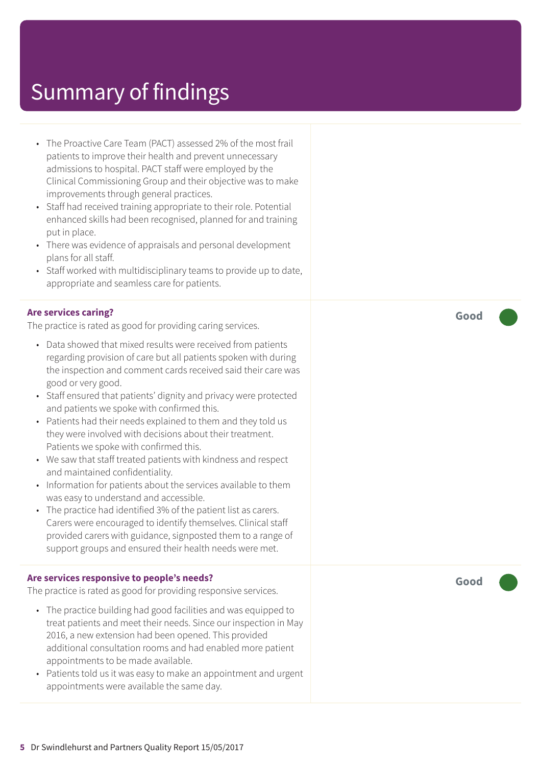- The Proactive Care Team (PACT) assessed 2% of the most frail patients to improve their health and prevent unnecessary admissions to hospital. PACT staff were employed by the Clinical Commissioning Group and their objective was to make improvements through general practices.
- Staff had received training appropriate to their role. Potential enhanced skills had been recognised, planned for and training put in place.
- There was evidence of appraisals and personal development plans for all staff.
- Staff worked with multidisciplinary teams to provide up to date, appropriate and seamless care for patients.

#### **Are services caring?**

The practice is rated as good for providing caring services.

- Data showed that mixed results were received from patients regarding provision of care but all patients spoken with during the inspection and comment cards received said their care was good or very good.
- Staff ensured that patients' dignity and privacy were protected and patients we spoke with confirmed this.
- Patients had their needs explained to them and they told us they were involved with decisions about their treatment. Patients we spoke with confirmed this.
- We saw that staff treated patients with kindness and respect and maintained confidentiality.
- Information for patients about the services available to them was easy to understand and accessible.
- The practice had identified 3% of the patient list as carers. Carers were encouraged to identify themselves. Clinical staff provided carers with guidance, signposted them to a range of support groups and ensured their health needs were met.

#### **Are services responsive to people's needs?**

The practice is rated as good for providing responsive services.

- The practice building had good facilities and was equipped to treat patients and meet their needs. Since our inspection in May 2016, a new extension had been opened. This provided additional consultation rooms and had enabled more patient appointments to be made available.
- Patients told us it was easy to make an appointment and urgent appointments were available the same day.

**Good –––**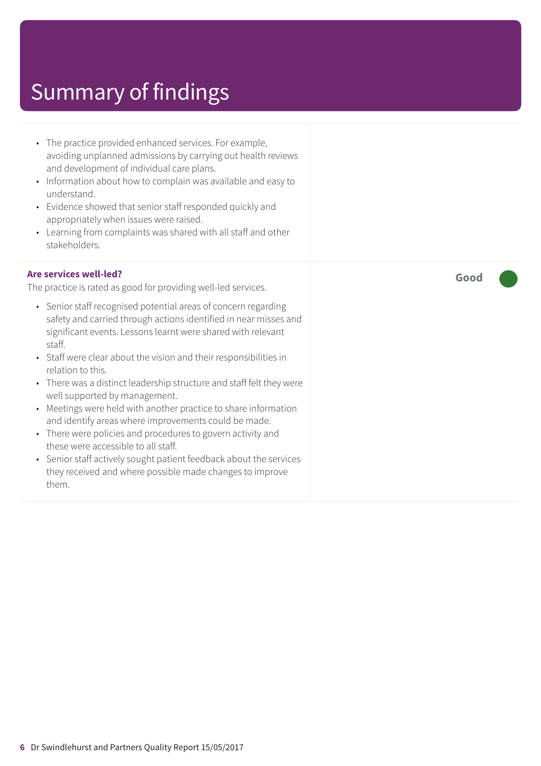- The practice provided enhanced services. For example, avoiding unplanned admissions by carrying out health reviews and development of individual care plans.
- Information about how to complain was available and easy to understand.
- Evidence showed that senior staff responded quickly and appropriately when issues were raised.
- Learning from complaints was shared with all staff and other stakeholders.

#### **Are services well-led?**

The practice is rated as good for providing well-led services.

- Senior staff recognised potential areas of concern regarding safety and carried through actions identified in near misses and significant events. Lessons learnt were shared with relevant staff.
- Staff were clear about the vision and their responsibilities in relation to this.
- There was a distinct leadership structure and staff felt they were well supported by management.
- Meetings were held with another practice to share information and identify areas where improvements could be made.
- There were policies and procedures to govern activity and these were accessible to all staff.
- Senior staff actively sought patient feedback about the services they received and where possible made changes to improve them.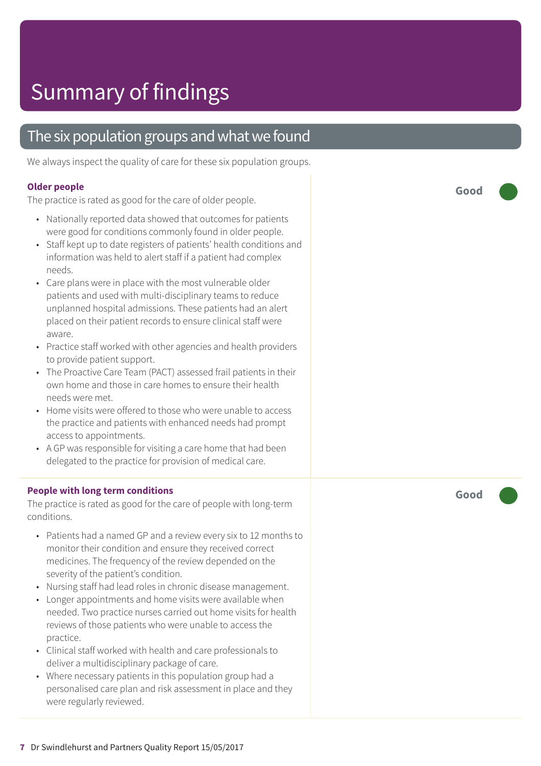### The six population groups and what we found

We always inspect the quality of care for these six population groups.

#### **Older people**

The practice is rated as good for the care of older people.

- Nationally reported data showed that outcomes for patients were good for conditions commonly found in older people.
- Staff kept up to date registers of patients' health conditions and information was held to alert staff if a patient had complex needs.
- Care plans were in place with the most vulnerable older patients and used with multi-disciplinary teams to reduce unplanned hospital admissions. These patients had an alert placed on their patient records to ensure clinical staff were aware.
- Practice staff worked with other agencies and health providers to provide patient support.
- The Proactive Care Team (PACT) assessed frail patients in their own home and those in care homes to ensure their health needs were met.
- Home visits were offered to those who were unable to access the practice and patients with enhanced needs had prompt access to appointments.
- A GP was responsible for visiting a care home that had been delegated to the practice for provision of medical care.

#### **People with long term conditions**

The practice is rated as good for the care of people with long-term conditions.

- Patients had a named GP and a review every six to 12 months to monitor their condition and ensure they received correct medicines. The frequency of the review depended on the severity of the patient's condition.
- Nursing staff had lead roles in chronic disease management.
- Longer appointments and home visits were available when needed. Two practice nurses carried out home visits for health reviews of those patients who were unable to access the practice.
- Clinical staff worked with health and care professionals to deliver a multidisciplinary package of care.
- Where necessary patients in this population group had a personalised care plan and risk assessment in place and they were regularly reviewed.

**Good –––**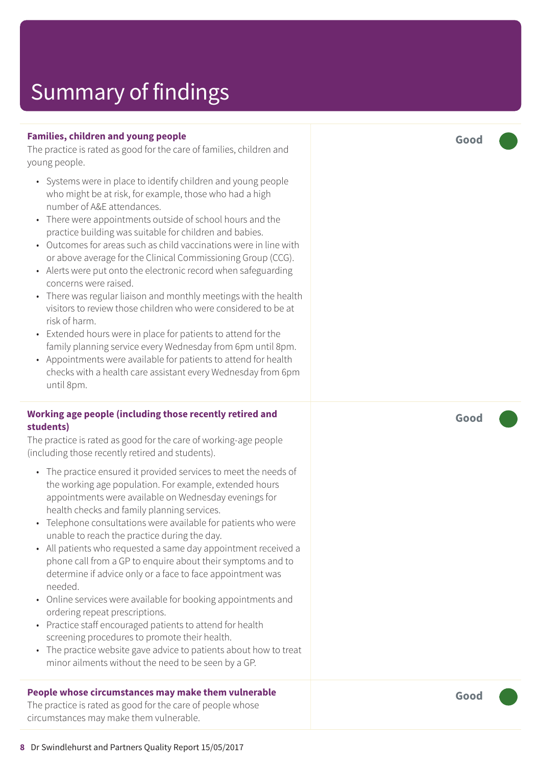#### **Families, children and young people**

The practice is rated as good for the care of families, children and young people.

- Systems were in place to identify children and young people who might be at risk, for example, those who had a high number of A&E attendances.
- There were appointments outside of school hours and the practice building was suitable for children and babies.
- Outcomes for areas such as child vaccinations were in line with or above average for the Clinical Commissioning Group (CCG).
- Alerts were put onto the electronic record when safeguarding concerns were raised.
- There was regular liaison and monthly meetings with the health visitors to review those children who were considered to be at risk of harm.
- Extended hours were in place for patients to attend for the family planning service every Wednesday from 6pm until 8pm.
- Appointments were available for patients to attend for health checks with a health care assistant every Wednesday from 6pm until 8pm.

#### **Working age people (including those recently retired and students)**

The practice is rated as good for the care of working-age people (including those recently retired and students).

- The practice ensured it provided services to meet the needs of the working age population. For example, extended hours appointments were available on Wednesday evenings for health checks and family planning services.
- Telephone consultations were available for patients who were unable to reach the practice during the day.
- All patients who requested a same day appointment received a phone call from a GP to enquire about their symptoms and to determine if advice only or a face to face appointment was needed.
- Online services were available for booking appointments and ordering repeat prescriptions.
- Practice staff encouraged patients to attend for health screening procedures to promote their health.
- The practice website gave advice to patients about how to treat minor ailments without the need to be seen by a GP.

#### **People whose circumstances may make them vulnerable**

The practice is rated as good for the care of people whose circumstances may make them vulnerable.

**Good –––**

**Good –––**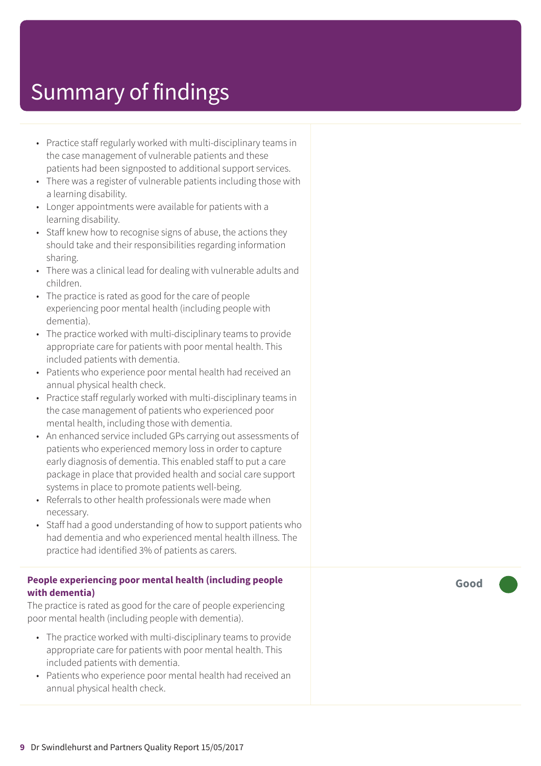- Practice staff regularly worked with multi-disciplinary teams in the case management of vulnerable patients and these patients had been signposted to additional support services.
- There was a register of vulnerable patients including those with a learning disability.
- Longer appointments were available for patients with a learning disability.
- Staff knew how to recognise signs of abuse, the actions they should take and their responsibilities regarding information sharing.
- There was a clinical lead for dealing with vulnerable adults and children.
- The practice is rated as good for the care of people experiencing poor mental health (including people with dementia).
- The practice worked with multi-disciplinary teams to provide appropriate care for patients with poor mental health. This included patients with dementia.
- Patients who experience poor mental health had received an annual physical health check.
- Practice staff regularly worked with multi-disciplinary teams in the case management of patients who experienced poor mental health, including those with dementia.
- An enhanced service included GPs carrying out assessments of patients who experienced memory loss in order to capture early diagnosis of dementia. This enabled staff to put a care package in place that provided health and social care support systems in place to promote patients well-being.
- Referrals to other health professionals were made when necessary.
- Staff had a good understanding of how to support patients who had dementia and who experienced mental health illness. The practice had identified 3% of patients as carers.

#### **People experiencing poor mental health (including people with dementia)**

The practice is rated as good for the care of people experiencing poor mental health (including people with dementia).

- The practice worked with multi-disciplinary teams to provide appropriate care for patients with poor mental health. This included patients with dementia.
- Patients who experience poor mental health had received an annual physical health check.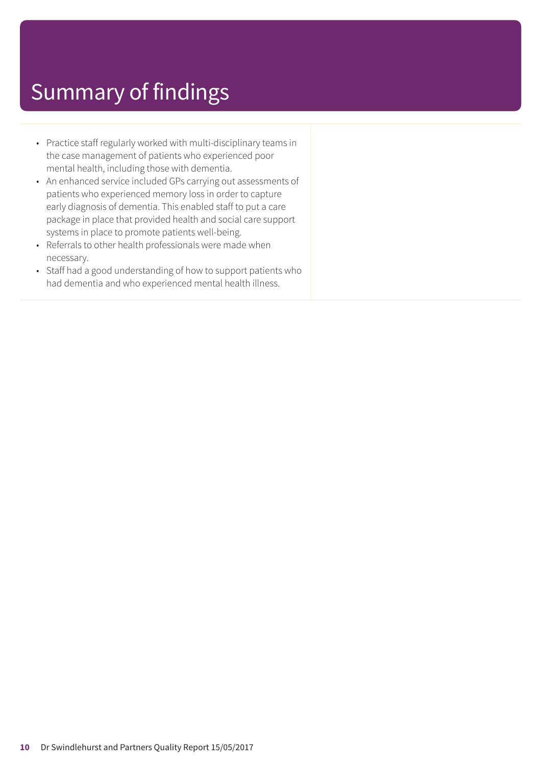- Practice staff regularly worked with multi-disciplinary teams in the case management of patients who experienced poor mental health, including those with dementia.
- An enhanced service included GPs carrying out assessments of patients who experienced memory loss in order to capture early diagnosis of dementia. This enabled staff to put a care package in place that provided health and social care support systems in place to promote patients well-being.
- Referrals to other health professionals were made when necessary.
- Staff had a good understanding of how to support patients who had dementia and who experienced mental health illness.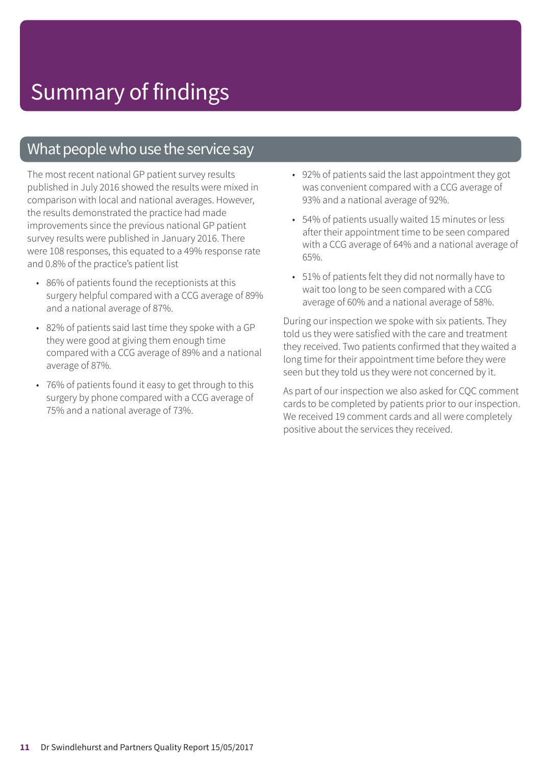### What people who use the service say

The most recent national GP patient survey results published in July 2016 showed the results were mixed in comparison with local and national averages. However, the results demonstrated the practice had made improvements since the previous national GP patient survey results were published in January 2016. There were 108 responses, this equated to a 49% response rate and 0.8% of the practice's patient list

- 86% of patients found the receptionists at this surgery helpful compared with a CCG average of 89% and a national average of 87%.
- 82% of patients said last time they spoke with a GP they were good at giving them enough time compared with a CCG average of 89% and a national average of 87%.
- 76% of patients found it easy to get through to this surgery by phone compared with a CCG average of 75% and a national average of 73%.
- 92% of patients said the last appointment they got was convenient compared with a CCG average of 93% and a national average of 92%.
- 54% of patients usually waited 15 minutes or less after their appointment time to be seen compared with a CCG average of 64% and a national average of 65%.
- 51% of patients felt they did not normally have to wait too long to be seen compared with a CCG average of 60% and a national average of 58%.

During our inspection we spoke with six patients. They told us they were satisfied with the care and treatment they received. Two patients confirmed that they waited a long time for their appointment time before they were seen but they told us they were not concerned by it.

As part of our inspection we also asked for CQC comment cards to be completed by patients prior to our inspection. We received 19 comment cards and all were completely positive about the services they received.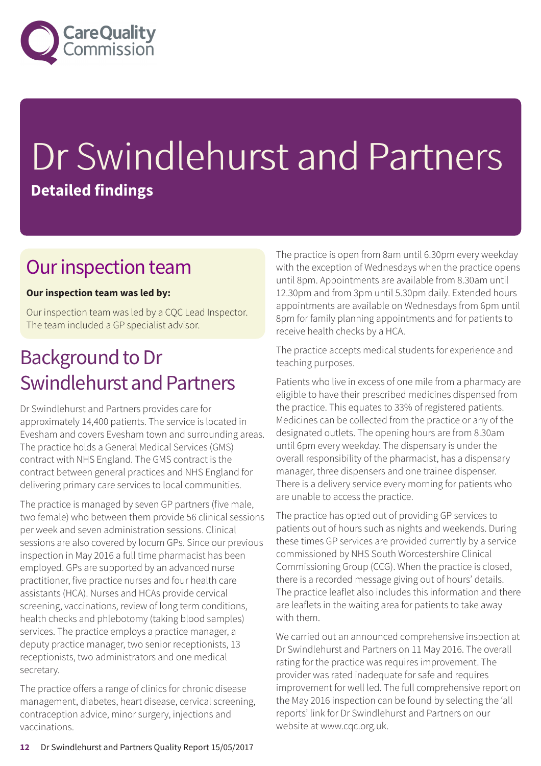

# Dr Swindlehurst and Partners **Detailed findings**

### Our inspection team

#### **Our inspection team was led by:**

Our inspection team was led by a CQC Lead Inspector. The team included a GP specialist advisor.

### Background to Dr Swindlehurst and Partners

Dr Swindlehurst and Partners provides care for approximately 14,400 patients. The service is located in Evesham and covers Evesham town and surrounding areas. The practice holds a General Medical Services (GMS) contract with NHS England. The GMS contract is the contract between general practices and NHS England for delivering primary care services to local communities.

The practice is managed by seven GP partners (five male, two female) who between them provide 56 clinical sessions per week and seven administration sessions. Clinical sessions are also covered by locum GPs. Since our previous inspection in May 2016 a full time pharmacist has been employed. GPs are supported by an advanced nurse practitioner, five practice nurses and four health care assistants (HCA). Nurses and HCAs provide cervical screening, vaccinations, review of long term conditions, health checks and phlebotomy (taking blood samples) services. The practice employs a practice manager, a deputy practice manager, two senior receptionists, 13 receptionists, two administrators and one medical secretary.

The practice offers a range of clinics for chronic disease management, diabetes, heart disease, cervical screening, contraception advice, minor surgery, injections and vaccinations.

The practice is open from 8am until 6.30pm every weekday with the exception of Wednesdays when the practice opens until 8pm. Appointments are available from 8.30am until 12.30pm and from 3pm until 5.30pm daily. Extended hours appointments are available on Wednesdays from 6pm until 8pm for family planning appointments and for patients to receive health checks by a HCA.

The practice accepts medical students for experience and teaching purposes.

Patients who live in excess of one mile from a pharmacy are eligible to have their prescribed medicines dispensed from the practice. This equates to 33% of registered patients. Medicines can be collected from the practice or any of the designated outlets. The opening hours are from 8.30am until 6pm every weekday. The dispensary is under the overall responsibility of the pharmacist, has a dispensary manager, three dispensers and one trainee dispenser. There is a delivery service every morning for patients who are unable to access the practice.

The practice has opted out of providing GP services to patients out of hours such as nights and weekends. During these times GP services are provided currently by a service commissioned by NHS South Worcestershire Clinical Commissioning Group (CCG). When the practice is closed, there is a recorded message giving out of hours' details. The practice leaflet also includes this information and there are leaflets in the waiting area for patients to take away with them.

We carried out an announced comprehensive inspection at Dr Swindlehurst and Partners on 11 May 2016. The overall rating for the practice was requires improvement. The provider was rated inadequate for safe and requires improvement for well led. The full comprehensive report on the May 2016 inspection can be found by selecting the 'all reports' link for Dr Swindlehurst and Partners on our website at www.cqc.org.uk.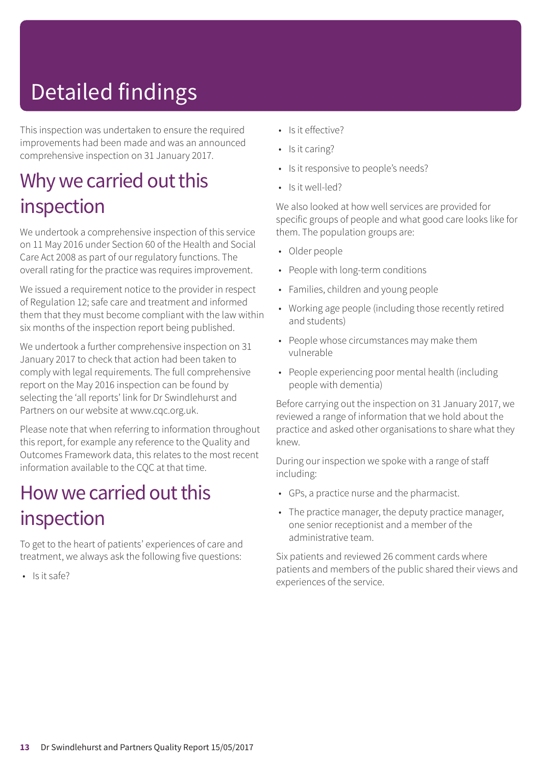# Detailed findings

This inspection was undertaken to ensure the required improvements had been made and was an announced comprehensive inspection on 31 January 2017.

### Why we carried out this inspection

We undertook a comprehensive inspection of this service on 11 May 2016 under Section 60 of the Health and Social Care Act 2008 as part of our regulatory functions. The overall rating for the practice was requires improvement.

We issued a requirement notice to the provider in respect of Regulation 12; safe care and treatment and informed them that they must become compliant with the law within six months of the inspection report being published.

We undertook a further comprehensive inspection on 31 January 2017 to check that action had been taken to comply with legal requirements. The full comprehensive report on the May 2016 inspection can be found by selecting the 'all reports' link for Dr Swindlehurst and Partners on our website at www.cqc.org.uk.

Please note that when referring to information throughout this report, for example any reference to the Quality and Outcomes Framework data, this relates to the most recent information available to the CQC at that time.

### How we carried out this inspection

To get to the heart of patients' experiences of care and treatment, we always ask the following five questions:

 $\cdot$  Is it safe?

- Is it effective?
- Is it caring?
- Is it responsive to people's needs?
- Is it well-led?

We also looked at how well services are provided for specific groups of people and what good care looks like for them. The population groups are:

- Older people
- People with long-term conditions
- Families, children and young people
- Working age people (including those recently retired and students)
- People whose circumstances may make them vulnerable
- People experiencing poor mental health (including people with dementia)

Before carrying out the inspection on 31 January 2017, we reviewed a range of information that we hold about the practice and asked other organisations to share what they knew.

During our inspection we spoke with a range of staff including:

- GPs, a practice nurse and the pharmacist.
- The practice manager, the deputy practice manager, one senior receptionist and a member of the administrative team.

Six patients and reviewed 26 comment cards where patients and members of the public shared their views and experiences of the service.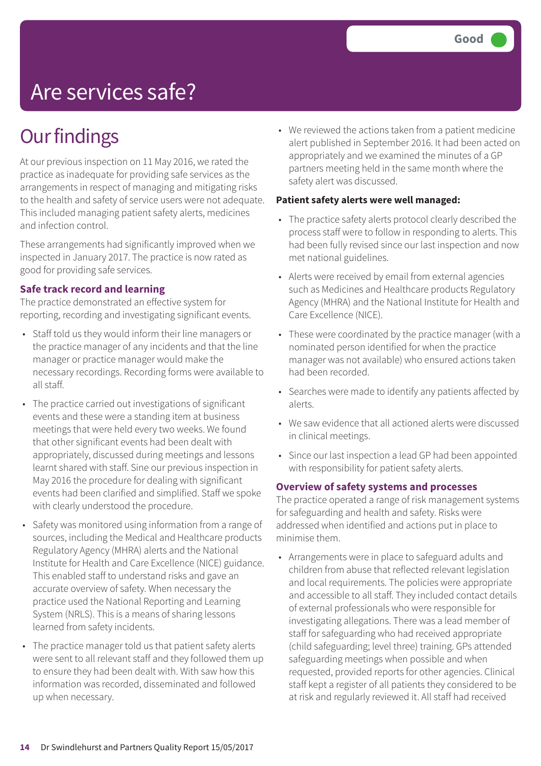# Are services safe?

### **Our findings**

At our previous inspection on 11 May 2016, we rated the practice as inadequate for providing safe services as the arrangements in respect of managing and mitigating risks to the health and safety of service users were not adequate. This included managing patient safety alerts, medicines and infection control.

These arrangements had significantly improved when we inspected in January 2017. The practice is now rated as good for providing safe services.

#### **Safe track record and learning**

The practice demonstrated an effective system for reporting, recording and investigating significant events.

- Staff told us they would inform their line managers or the practice manager of any incidents and that the line manager or practice manager would make the necessary recordings. Recording forms were available to all staff.
- The practice carried out investigations of significant events and these were a standing item at business meetings that were held every two weeks. We found that other significant events had been dealt with appropriately, discussed during meetings and lessons learnt shared with staff. Sine our previous inspection in May 2016 the procedure for dealing with significant events had been clarified and simplified. Staff we spoke with clearly understood the procedure.
- Safety was monitored using information from a range of sources, including the Medical and Healthcare products Regulatory Agency (MHRA) alerts and the National Institute for Health and Care Excellence (NICE) guidance. This enabled staff to understand risks and gave an accurate overview of safety. When necessary the practice used the National Reporting and Learning System (NRLS). This is a means of sharing lessons learned from safety incidents.
- The practice manager told us that patient safety alerts were sent to all relevant staff and they followed them up to ensure they had been dealt with. With saw how this information was recorded, disseminated and followed up when necessary.

• We reviewed the actions taken from a patient medicine alert published in September 2016. It had been acted on appropriately and we examined the minutes of a GP partners meeting held in the same month where the safety alert was discussed.

#### **Patient safety alerts were well managed:**

- The practice safety alerts protocol clearly described the process staff were to follow in responding to alerts. This had been fully revised since our last inspection and now met national guidelines.
- Alerts were received by email from external agencies such as Medicines and Healthcare products Regulatory Agency (MHRA) and the National Institute for Health and Care Excellence (NICE).
- These were coordinated by the practice manager (with a nominated person identified for when the practice manager was not available) who ensured actions taken had been recorded.
- Searches were made to identify any patients affected by alerts.
- We saw evidence that all actioned alerts were discussed in clinical meetings.
- Since our last inspection a lead GP had been appointed with responsibility for patient safety alerts.

#### **Overview of safety systems and processes**

The practice operated a range of risk management systems for safeguarding and health and safety. Risks were addressed when identified and actions put in place to minimise them.

• Arrangements were in place to safeguard adults and children from abuse that reflected relevant legislation and local requirements. The policies were appropriate and accessible to all staff. They included contact details of external professionals who were responsible for investigating allegations. There was a lead member of staff for safeguarding who had received appropriate (child safeguarding; level three) training. GPs attended safeguarding meetings when possible and when requested, provided reports for other agencies. Clinical staff kept a register of all patients they considered to be at risk and regularly reviewed it. All staff had received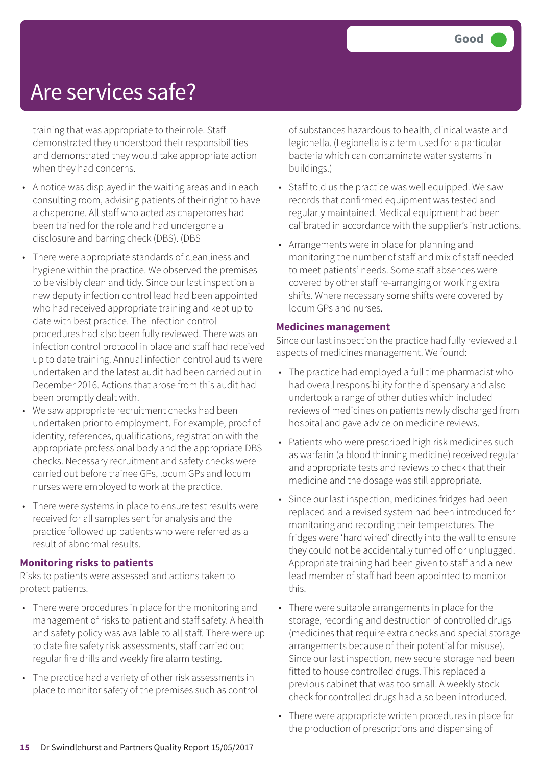### Are services safe?

training that was appropriate to their role. Staff demonstrated they understood their responsibilities and demonstrated they would take appropriate action when they had concerns.

- A notice was displayed in the waiting areas and in each consulting room, advising patients of their right to have a chaperone. All staff who acted as chaperones had been trained for the role and had undergone a disclosure and barring check (DBS). (DBS
- There were appropriate standards of cleanliness and hygiene within the practice. We observed the premises to be visibly clean and tidy. Since our last inspection a new deputy infection control lead had been appointed who had received appropriate training and kept up to date with best practice. The infection control procedures had also been fully reviewed. There was an infection control protocol in place and staff had received up to date training. Annual infection control audits were undertaken and the latest audit had been carried out in December 2016. Actions that arose from this audit had been promptly dealt with.
- We saw appropriate recruitment checks had been undertaken prior to employment. For example, proof of identity, references, qualifications, registration with the appropriate professional body and the appropriate DBS checks. Necessary recruitment and safety checks were carried out before trainee GPs, locum GPs and locum nurses were employed to work at the practice.
- There were systems in place to ensure test results were received for all samples sent for analysis and the practice followed up patients who were referred as a result of abnormal results.

#### **Monitoring risks to patients**

Risks to patients were assessed and actions taken to protect patients.

- There were procedures in place for the monitoring and management of risks to patient and staff safety. A health and safety policy was available to all staff. There were up to date fire safety risk assessments, staff carried out regular fire drills and weekly fire alarm testing.
- The practice had a variety of other risk assessments in place to monitor safety of the premises such as control

of substances hazardous to health, clinical waste and legionella. (Legionella is a term used for a particular bacteria which can contaminate water systems in buildings.)

- Staff told us the practice was well equipped. We saw records that confirmed equipment was tested and regularly maintained. Medical equipment had been calibrated in accordance with the supplier's instructions.
- Arrangements were in place for planning and monitoring the number of staff and mix of staff needed to meet patients' needs. Some staff absences were covered by other staff re-arranging or working extra shifts. Where necessary some shifts were covered by locum GPs and nurses.

#### **Medicines management**

Since our last inspection the practice had fully reviewed all aspects of medicines management. We found:

- The practice had employed a full time pharmacist who had overall responsibility for the dispensary and also undertook a range of other duties which included reviews of medicines on patients newly discharged from hospital and gave advice on medicine reviews.
- Patients who were prescribed high risk medicines such as warfarin (a blood thinning medicine) received regular and appropriate tests and reviews to check that their medicine and the dosage was still appropriate.
- Since our last inspection, medicines fridges had been replaced and a revised system had been introduced for monitoring and recording their temperatures. The fridges were 'hard wired' directly into the wall to ensure they could not be accidentally turned off or unplugged. Appropriate training had been given to staff and a new lead member of staff had been appointed to monitor this.
- There were suitable arrangements in place for the storage, recording and destruction of controlled drugs (medicines that require extra checks and special storage arrangements because of their potential for misuse). Since our last inspection, new secure storage had been fitted to house controlled drugs. This replaced a previous cabinet that was too small. A weekly stock check for controlled drugs had also been introduced.
- There were appropriate written procedures in place for the production of prescriptions and dispensing of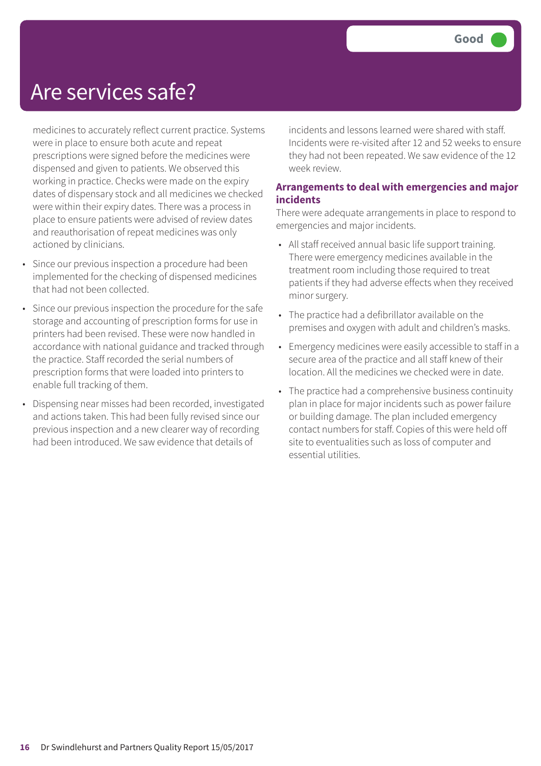### Are services safe?

medicines to accurately reflect current practice. Systems were in place to ensure both acute and repeat prescriptions were signed before the medicines were dispensed and given to patients. We observed this working in practice. Checks were made on the expiry dates of dispensary stock and all medicines we checked were within their expiry dates. There was a process in place to ensure patients were advised of review dates and reauthorisation of repeat medicines was only actioned by clinicians.

- Since our previous inspection a procedure had been implemented for the checking of dispensed medicines that had not been collected.
- Since our previous inspection the procedure for the safe storage and accounting of prescription forms for use in printers had been revised. These were now handled in accordance with national guidance and tracked through the practice. Staff recorded the serial numbers of prescription forms that were loaded into printers to enable full tracking of them.
- Dispensing near misses had been recorded, investigated and actions taken. This had been fully revised since our previous inspection and a new clearer way of recording had been introduced. We saw evidence that details of

incidents and lessons learned were shared with staff. Incidents were re-visited after 12 and 52 weeks to ensure they had not been repeated. We saw evidence of the 12 week review.

#### **Arrangements to deal with emergencies and major incidents**

There were adequate arrangements in place to respond to emergencies and major incidents.

- All staff received annual basic life support training. There were emergency medicines available in the treatment room including those required to treat patients if they had adverse effects when they received minor surgery.
- The practice had a defibrillator available on the premises and oxygen with adult and children's masks.
- Emergency medicines were easily accessible to staff in a secure area of the practice and all staff knew of their location. All the medicines we checked were in date.
- The practice had a comprehensive business continuity plan in place for major incidents such as power failure or building damage. The plan included emergency contact numbers for staff. Copies of this were held off site to eventualities such as loss of computer and essential utilities.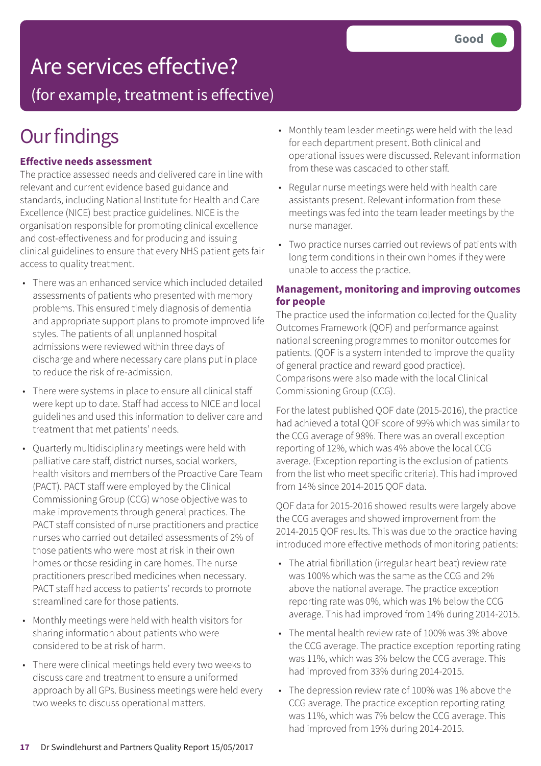### Are services effective?

(for example, treatment is effective)

# **Our findings**

#### **Effective needs assessment**

The practice assessed needs and delivered care in line with relevant and current evidence based guidance and standards, including National Institute for Health and Care Excellence (NICE) best practice guidelines. NICE is the organisation responsible for promoting clinical excellence and cost-effectiveness and for producing and issuing clinical guidelines to ensure that every NHS patient gets fair access to quality treatment.

- There was an enhanced service which included detailed assessments of patients who presented with memory problems. This ensured timely diagnosis of dementia and appropriate support plans to promote improved life styles. The patients of all unplanned hospital admissions were reviewed within three days of discharge and where necessary care plans put in place to reduce the risk of re-admission.
- There were systems in place to ensure all clinical staff were kept up to date. Staff had access to NICE and local guidelines and used this information to deliver care and treatment that met patients' needs.
- Quarterly multidisciplinary meetings were held with palliative care staff, district nurses, social workers, health visitors and members of the Proactive Care Team (PACT). PACT staff were employed by the Clinical Commissioning Group (CCG) whose objective was to make improvements through general practices. The PACT staff consisted of nurse practitioners and practice nurses who carried out detailed assessments of 2% of those patients who were most at risk in their own homes or those residing in care homes. The nurse practitioners prescribed medicines when necessary. PACT staff had access to patients' records to promote streamlined care for those patients.
- Monthly meetings were held with health visitors for sharing information about patients who were considered to be at risk of harm.
- There were clinical meetings held every two weeks to discuss care and treatment to ensure a uniformed approach by all GPs. Business meetings were held every two weeks to discuss operational matters.
- Monthly team leader meetings were held with the lead for each department present. Both clinical and operational issues were discussed. Relevant information from these was cascaded to other staff.
- Regular nurse meetings were held with health care assistants present. Relevant information from these meetings was fed into the team leader meetings by the nurse manager.
- Two practice nurses carried out reviews of patients with long term conditions in their own homes if they were unable to access the practice.

#### **Management, monitoring and improving outcomes for people**

The practice used the information collected for the Quality Outcomes Framework (QOF) and performance against national screening programmes to monitor outcomes for patients. (QOF is a system intended to improve the quality of general practice and reward good practice). Comparisons were also made with the local Clinical Commissioning Group (CCG).

For the latest published QOF date (2015-2016), the practice had achieved a total QOF score of 99% which was similar to the CCG average of 98%. There was an overall exception reporting of 12%, which was 4% above the local CCG average. (Exception reporting is the exclusion of patients from the list who meet specific criteria). This had improved from 14% since 2014-2015 QOF data.

QOF data for 2015-2016 showed results were largely above the CCG averages and showed improvement from the 2014-2015 QOF results. This was due to the practice having introduced more effective methods of monitoring patients:

- The atrial fibrillation (irregular heart beat) review rate was 100% which was the same as the CCG and 2% above the national average. The practice exception reporting rate was 0%, which was 1% below the CCG average. This had improved from 14% during 2014-2015.
- The mental health review rate of 100% was 3% above the CCG average. The practice exception reporting rating was 11%, which was 3% below the CCG average. This had improved from 33% during 2014-2015.
- The depression review rate of 100% was 1% above the CCG average. The practice exception reporting rating was 11%, which was 7% below the CCG average. This had improved from 19% during 2014-2015.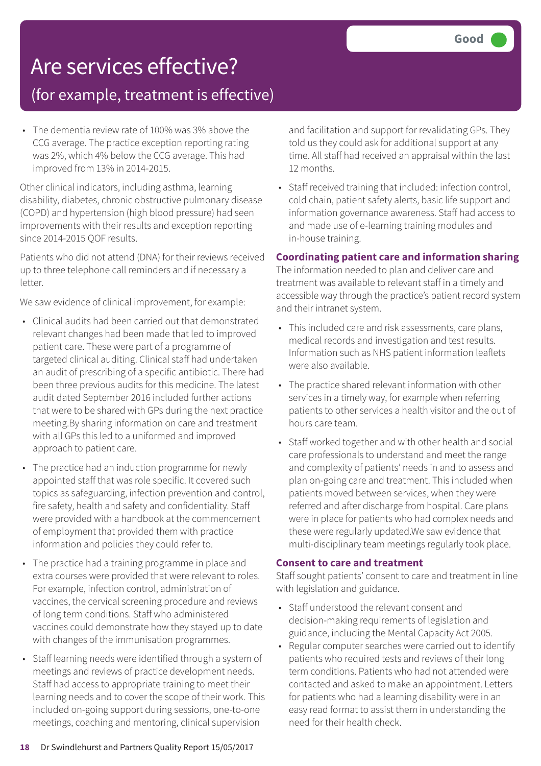### Are services effective?

### (for example, treatment is effective)

• The dementia review rate of 100% was 3% above the CCG average. The practice exception reporting rating was 2%, which 4% below the CCG average. This had improved from 13% in 2014-2015.

Other clinical indicators, including asthma, learning disability, diabetes, chronic obstructive pulmonary disease (COPD) and hypertension (high blood pressure) had seen improvements with their results and exception reporting since 2014-2015 QOF results.

Patients who did not attend (DNA) for their reviews received up to three telephone call reminders and if necessary a letter.

We saw evidence of clinical improvement, for example:

- Clinical audits had been carried out that demonstrated relevant changes had been made that led to improved patient care. These were part of a programme of targeted clinical auditing. Clinical staff had undertaken an audit of prescribing of a specific antibiotic. There had been three previous audits for this medicine. The latest audit dated September 2016 included further actions that were to be shared with GPs during the next practice meeting.By sharing information on care and treatment with all GPs this led to a uniformed and improved approach to patient care.
- The practice had an induction programme for newly appointed staff that was role specific. It covered such topics as safeguarding, infection prevention and control, fire safety, health and safety and confidentiality. Staff were provided with a handbook at the commencement of employment that provided them with practice information and policies they could refer to.
- The practice had a training programme in place and extra courses were provided that were relevant to roles. For example, infection control, administration of vaccines, the cervical screening procedure and reviews of long term conditions. Staff who administered vaccines could demonstrate how they stayed up to date with changes of the immunisation programmes.
- Staff learning needs were identified through a system of meetings and reviews of practice development needs. Staff had access to appropriate training to meet their learning needs and to cover the scope of their work. This included on-going support during sessions, one-to-one meetings, coaching and mentoring, clinical supervision

and facilitation and support for revalidating GPs. They told us they could ask for additional support at any time. All staff had received an appraisal within the last 12 months.

• Staff received training that included: infection control, cold chain, patient safety alerts, basic life support and information governance awareness. Staff had access to and made use of e-learning training modules and in-house training.

#### **Coordinating patient care and information sharing**

The information needed to plan and deliver care and treatment was available to relevant staff in a timely and accessible way through the practice's patient record system and their intranet system.

- This included care and risk assessments, care plans, medical records and investigation and test results. Information such as NHS patient information leaflets were also available.
- The practice shared relevant information with other services in a timely way, for example when referring patients to other services a health visitor and the out of hours care team.
- Staff worked together and with other health and social care professionals to understand and meet the range and complexity of patients' needs in and to assess and plan on-going care and treatment. This included when patients moved between services, when they were referred and after discharge from hospital. Care plans were in place for patients who had complex needs and these were regularly updated.We saw evidence that multi-disciplinary team meetings regularly took place.

#### **Consent to care and treatment**

Staff sought patients' consent to care and treatment in line with legislation and guidance.

- Staff understood the relevant consent and decision-making requirements of legislation and guidance, including the Mental Capacity Act 2005.
- Regular computer searches were carried out to identify patients who required tests and reviews of their long term conditions. Patients who had not attended were contacted and asked to make an appointment. Letters for patients who had a learning disability were in an easy read format to assist them in understanding the need for their health check.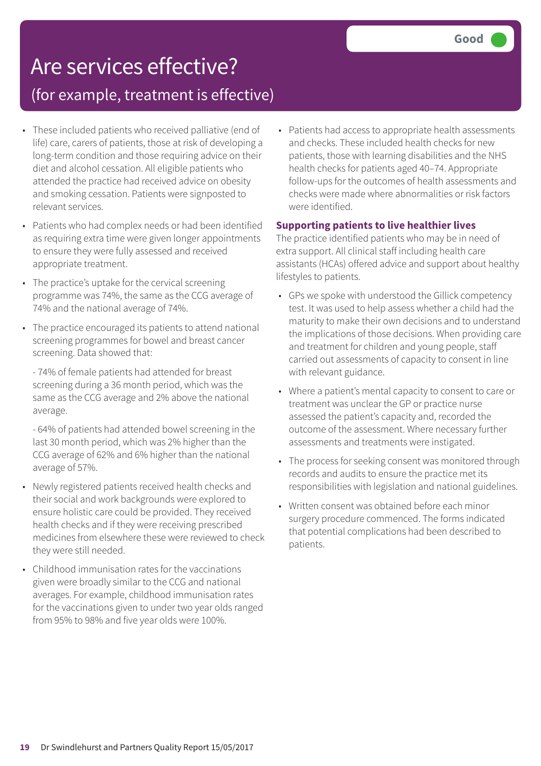# Are services effective?

### (for example, treatment is effective)

- These included patients who received palliative (end of life) care, carers of patients, those at risk of developing a long-term condition and those requiring advice on their diet and alcohol cessation. All eligible patients who attended the practice had received advice on obesity and smoking cessation. Patients were signposted to relevant services.
- Patients who had complex needs or had been identified as requiring extra time were given longer appointments to ensure they were fully assessed and received appropriate treatment.
- The practice's uptake for the cervical screening programme was 74%, the same as the CCG average of 74% and the national average of 74%.
- The practice encouraged its patients to attend national screening programmes for bowel and breast cancer screening. Data showed that:
	- 74% of female patients had attended for breast screening during a 36 month period, which was the same as the CCG average and 2% above the national average.
	- 64% of patients had attended bowel screening in the last 30 month period, which was 2% higher than the CCG average of 62% and 6% higher than the national average of 57%.
- Newly registered patients received health checks and their social and work backgrounds were explored to ensure holistic care could be provided. They received health checks and if they were receiving prescribed medicines from elsewhere these were reviewed to check they were still needed.
- Childhood immunisation rates for the vaccinations given were broadly similar to the CCG and national averages. For example, childhood immunisation rates for the vaccinations given to under two year olds ranged from 95% to 98% and five year olds were 100%.

• Patients had access to appropriate health assessments and checks. These included health checks for new patients, those with learning disabilities and the NHS health checks for patients aged 40–74. Appropriate follow-ups for the outcomes of health assessments and checks were made where abnormalities or risk factors were identified.

#### **Supporting patients to live healthier lives**

The practice identified patients who may be in need of extra support. All clinical staff including health care assistants (HCAs) offered advice and support about healthy lifestyles to patients.

- GPs we spoke with understood the Gillick competency test. It was used to help assess whether a child had the maturity to make their own decisions and to understand the implications of those decisions. When providing care and treatment for children and young people, staff carried out assessments of capacity to consent in line with relevant guidance.
- Where a patient's mental capacity to consent to care or treatment was unclear the GP or practice nurse assessed the patient's capacity and, recorded the outcome of the assessment. Where necessary further assessments and treatments were instigated.
- The process for seeking consent was monitored through records and audits to ensure the practice met its responsibilities with legislation and national guidelines.
- Written consent was obtained before each minor surgery procedure commenced. The forms indicated that potential complications had been described to patients.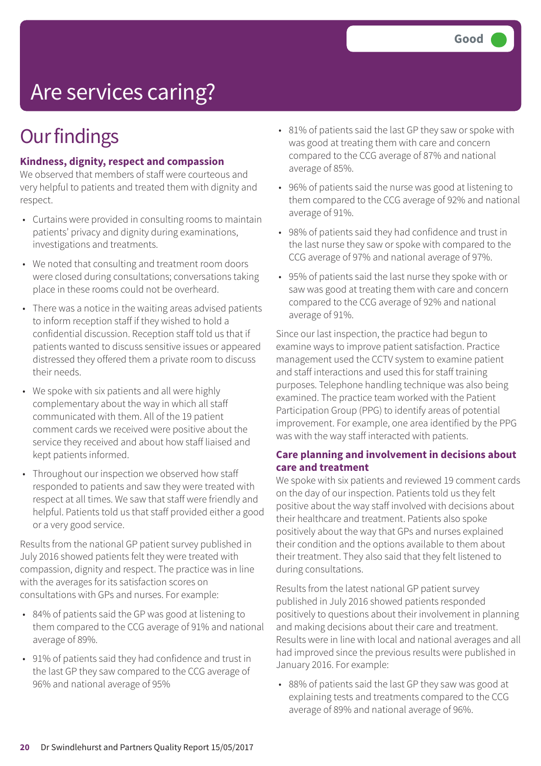# Are services caring?

### **Our findings**

#### **Kindness, dignity, respect and compassion**

We observed that members of staff were courteous and very helpful to patients and treated them with dignity and respect.

- Curtains were provided in consulting rooms to maintain patients' privacy and dignity during examinations, investigations and treatments.
- We noted that consulting and treatment room doors were closed during consultations; conversations taking place in these rooms could not be overheard.
- There was a notice in the waiting areas advised patients to inform reception staff if they wished to hold a confidential discussion. Reception staff told us that if patients wanted to discuss sensitive issues or appeared distressed they offered them a private room to discuss their needs.
- We spoke with six patients and all were highly complementary about the way in which all staff communicated with them. All of the 19 patient comment cards we received were positive about the service they received and about how staff liaised and kept patients informed.
- Throughout our inspection we observed how staff responded to patients and saw they were treated with respect at all times. We saw that staff were friendly and helpful. Patients told us that staff provided either a good or a very good service.

Results from the national GP patient survey published in July 2016 showed patients felt they were treated with compassion, dignity and respect. The practice was in line with the averages for its satisfaction scores on consultations with GPs and nurses. For example:

- 84% of patients said the GP was good at listening to them compared to the CCG average of 91% and national average of 89%.
- 91% of patients said they had confidence and trust in the last GP they saw compared to the CCG average of 96% and national average of 95%
- 81% of patients said the last GP they saw or spoke with was good at treating them with care and concern compared to the CCG average of 87% and national average of 85%.
- 96% of patients said the nurse was good at listening to them compared to the CCG average of 92% and national average of 91%.
- 98% of patients said they had confidence and trust in the last nurse they saw or spoke with compared to the CCG average of 97% and national average of 97%.
- 95% of patients said the last nurse they spoke with or saw was good at treating them with care and concern compared to the CCG average of 92% and national average of 91%.

Since our last inspection, the practice had begun to examine ways to improve patient satisfaction. Practice management used the CCTV system to examine patient and staff interactions and used this for staff training purposes. Telephone handling technique was also being examined. The practice team worked with the Patient Participation Group (PPG) to identify areas of potential improvement. For example, one area identified by the PPG was with the way staff interacted with patients.

#### **Care planning and involvement in decisions about care and treatment**

We spoke with six patients and reviewed 19 comment cards on the day of our inspection. Patients told us they felt positive about the way staff involved with decisions about their healthcare and treatment. Patients also spoke positively about the way that GPs and nurses explained their condition and the options available to them about their treatment. They also said that they felt listened to during consultations.

Results from the latest national GP patient survey published in July 2016 showed patients responded positively to questions about their involvement in planning and making decisions about their care and treatment. Results were in line with local and national averages and all had improved since the previous results were published in January 2016. For example:

• 88% of patients said the last GP they saw was good at explaining tests and treatments compared to the CCG average of 89% and national average of 96%.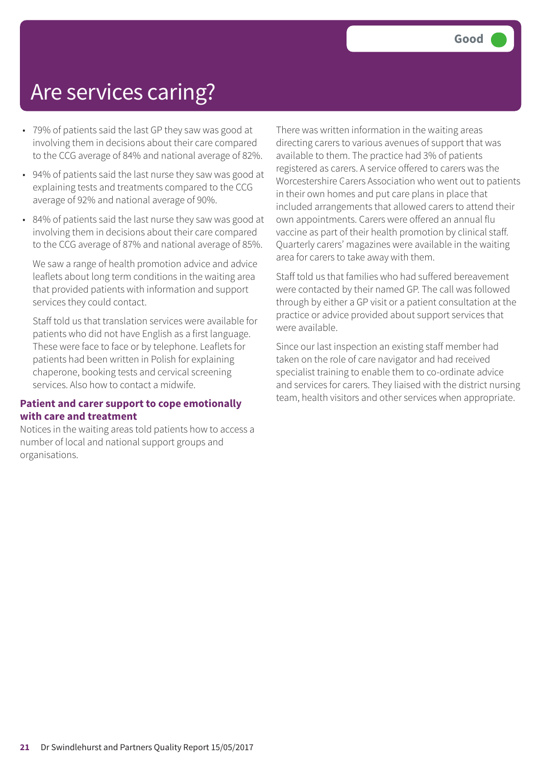### Are services caring?

- 79% of patients said the last GP they saw was good at involving them in decisions about their care compared to the CCG average of 84% and national average of 82%.
- 94% of patients said the last nurse they saw was good at explaining tests and treatments compared to the CCG average of 92% and national average of 90%.
- 84% of patients said the last nurse they saw was good at involving them in decisions about their care compared to the CCG average of 87% and national average of 85%.

We saw a range of health promotion advice and advice leaflets about long term conditions in the waiting area that provided patients with information and support services they could contact.

Staff told us that translation services were available for patients who did not have English as a first language. These were face to face or by telephone. Leaflets for patients had been written in Polish for explaining chaperone, booking tests and cervical screening services. Also how to contact a midwife.

#### **Patient and carer support to cope emotionally with care and treatment**

Notices in the waiting areas told patients how to access a number of local and national support groups and organisations.

There was written information in the waiting areas directing carers to various avenues of support that was available to them. The practice had 3% of patients registered as carers. A service offered to carers was the Worcestershire Carers Association who went out to patients in their own homes and put care plans in place that included arrangements that allowed carers to attend their own appointments. Carers were offered an annual flu vaccine as part of their health promotion by clinical staff. Quarterly carers' magazines were available in the waiting area for carers to take away with them.

Staff told us that families who had suffered bereavement were contacted by their named GP. The call was followed through by either a GP visit or a patient consultation at the practice or advice provided about support services that were available.

Since our last inspection an existing staff member had taken on the role of care navigator and had received specialist training to enable them to co-ordinate advice and services for carers. They liaised with the district nursing team, health visitors and other services when appropriate.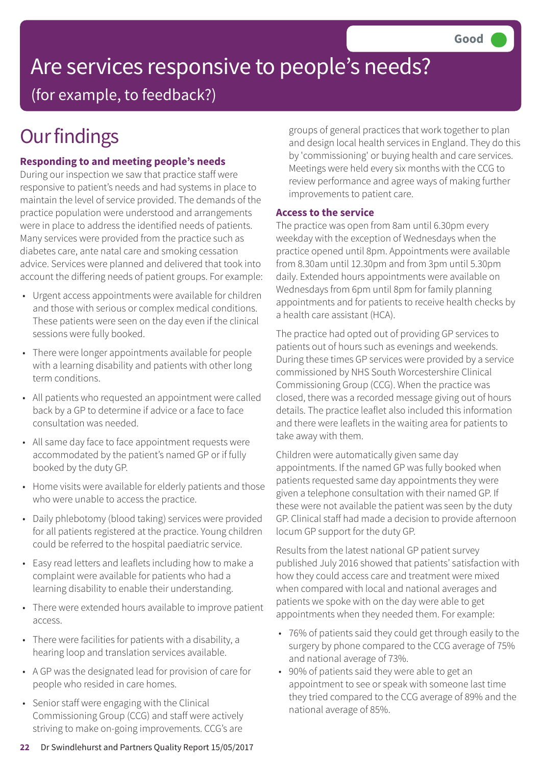# Are services responsive to people's needs?

(for example, to feedback?)

### **Our findings**

#### **Responding to and meeting people's needs**

During our inspection we saw that practice staff were responsive to patient's needs and had systems in place to maintain the level of service provided. The demands of the practice population were understood and arrangements were in place to address the identified needs of patients. Many services were provided from the practice such as diabetes care, ante natal care and smoking cessation advice. Services were planned and delivered that took into account the differing needs of patient groups. For example:

- Urgent access appointments were available for children and those with serious or complex medical conditions. These patients were seen on the day even if the clinical sessions were fully booked.
- There were longer appointments available for people with a learning disability and patients with other long term conditions.
- All patients who requested an appointment were called back by a GP to determine if advice or a face to face consultation was needed.
- All same day face to face appointment requests were accommodated by the patient's named GP or if fully booked by the duty GP.
- Home visits were available for elderly patients and those who were unable to access the practice.
- Daily phlebotomy (blood taking) services were provided for all patients registered at the practice. Young children could be referred to the hospital paediatric service.
- Easy read letters and leaflets including how to make a complaint were available for patients who had a learning disability to enable their understanding.
- There were extended hours available to improve patient access.
- There were facilities for patients with a disability, a hearing loop and translation services available.
- A GP was the designated lead for provision of care for people who resided in care homes.
- Senior staff were engaging with the Clinical Commissioning Group (CCG) and staff were actively striving to make on-going improvements. CCG's are

groups of general practices that work together to plan and design local health services in England. They do this by 'commissioning' or buying health and care services. Meetings were held every six months with the CCG to review performance and agree ways of making further improvements to patient care.

#### **Access to the service**

The practice was open from 8am until 6.30pm every weekday with the exception of Wednesdays when the practice opened until 8pm. Appointments were available from 8.30am until 12.30pm and from 3pm until 5.30pm daily. Extended hours appointments were available on Wednesdays from 6pm until 8pm for family planning appointments and for patients to receive health checks by a health care assistant (HCA).

The practice had opted out of providing GP services to patients out of hours such as evenings and weekends. During these times GP services were provided by a service commissioned by NHS South Worcestershire Clinical Commissioning Group (CCG). When the practice was closed, there was a recorded message giving out of hours details. The practice leaflet also included this information and there were leaflets in the waiting area for patients to take away with them.

Children were automatically given same day appointments. If the named GP was fully booked when patients requested same day appointments they were given a telephone consultation with their named GP. If these were not available the patient was seen by the duty GP. Clinical staff had made a decision to provide afternoon locum GP support for the duty GP.

Results from the latest national GP patient survey published July 2016 showed that patients' satisfaction with how they could access care and treatment were mixed when compared with local and national averages and patients we spoke with on the day were able to get appointments when they needed them. For example:

- 76% of patients said they could get through easily to the surgery by phone compared to the CCG average of 75% and national average of 73%.
- 90% of patients said they were able to get an appointment to see or speak with someone last time they tried compared to the CCG average of 89% and the national average of 85%.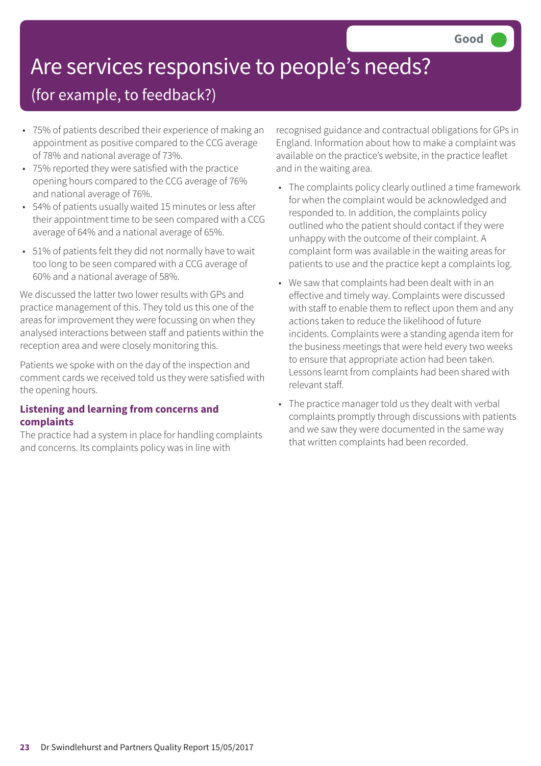# Are services responsive to people's needs?

### (for example, to feedback?)

- 75% of patients described their experience of making an appointment as positive compared to the CCG average of 78% and national average of 73%.
- 75% reported they were satisfied with the practice opening hours compared to the CCG average of 76% and national average of 76%.
- 54% of patients usually waited 15 minutes or less after their appointment time to be seen compared with a CCG average of 64% and a national average of 65%.
- 51% of patients felt they did not normally have to wait too long to be seen compared with a CCG average of 60% and a national average of 58%.

We discussed the latter two lower results with GPs and practice management of this. They told us this one of the areas for improvement they were focussing on when they analysed interactions between staff and patients within the reception area and were closely monitoring this.

Patients we spoke with on the day of the inspection and comment cards we received told us they were satisfied with the opening hours.

#### **Listening and learning from concerns and complaints**

The practice had a system in place for handling complaints and concerns. Its complaints policy was in line with

recognised guidance and contractual obligations for GPs in England. Information about how to make a complaint was available on the practice's website, in the practice leaflet and in the waiting area.

- The complaints policy clearly outlined a time framework for when the complaint would be acknowledged and responded to. In addition, the complaints policy outlined who the patient should contact if they were unhappy with the outcome of their complaint. A complaint form was available in the waiting areas for patients to use and the practice kept a complaints log.
- We saw that complaints had been dealt with in an effective and timely way. Complaints were discussed with staff to enable them to reflect upon them and any actions taken to reduce the likelihood of future incidents. Complaints were a standing agenda item for the business meetings that were held every two weeks to ensure that appropriate action had been taken. Lessons learnt from complaints had been shared with relevant staff.
- The practice manager told us they dealt with verbal complaints promptly through discussions with patients and we saw they were documented in the same way that written complaints had been recorded.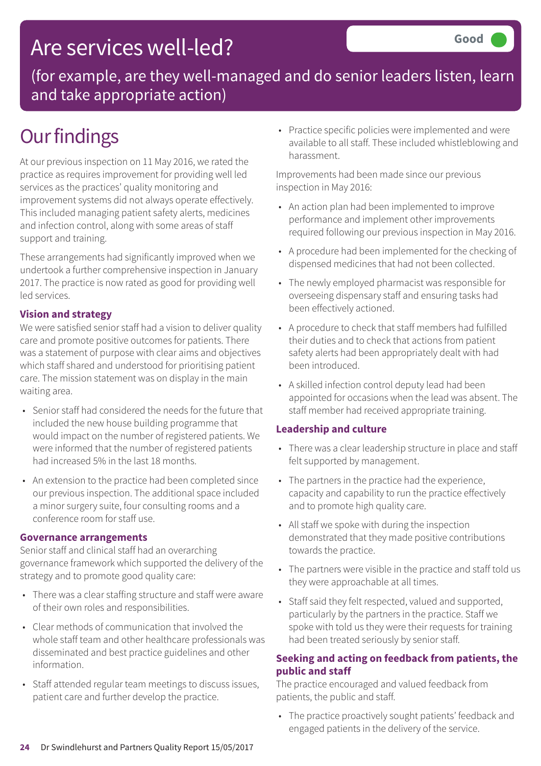### Are services well-led?

(for example, are they well-managed and do senior leaders listen, learn and take appropriate action)

### **Our findings**

At our previous inspection on 11 May 2016, we rated the practice as requires improvement for providing well led services as the practices' quality monitoring and improvement systems did not always operate effectively. This included managing patient safety alerts, medicines and infection control, along with some areas of staff support and training.

These arrangements had significantly improved when we undertook a further comprehensive inspection in January 2017. The practice is now rated as good for providing well led services.

#### **Vision and strategy**

We were satisfied senior staff had a vision to deliver quality care and promote positive outcomes for patients. There was a statement of purpose with clear aims and objectives which staff shared and understood for prioritising patient care. The mission statement was on display in the main waiting area.

- Senior staff had considered the needs for the future that included the new house building programme that would impact on the number of registered patients. We were informed that the number of registered patients had increased 5% in the last 18 months.
- An extension to the practice had been completed since our previous inspection. The additional space included a minor surgery suite, four consulting rooms and a conference room for staff use.

#### **Governance arrangements**

Senior staff and clinical staff had an overarching governance framework which supported the delivery of the strategy and to promote good quality care:

- There was a clear staffing structure and staff were aware of their own roles and responsibilities.
- Clear methods of communication that involved the whole staff team and other healthcare professionals was disseminated and best practice guidelines and other information.
- Staff attended regular team meetings to discuss issues, patient care and further develop the practice.

• Practice specific policies were implemented and were available to all staff. These included whistleblowing and harassment.

Improvements had been made since our previous inspection in May 2016:

- An action plan had been implemented to improve performance and implement other improvements required following our previous inspection in May 2016.
- A procedure had been implemented for the checking of dispensed medicines that had not been collected.
- The newly employed pharmacist was responsible for overseeing dispensary staff and ensuring tasks had been effectively actioned.
- A procedure to check that staff members had fulfilled their duties and to check that actions from patient safety alerts had been appropriately dealt with had been introduced.
- A skilled infection control deputy lead had been appointed for occasions when the lead was absent. The staff member had received appropriate training.

#### **Leadership and culture**

- There was a clear leadership structure in place and staff felt supported by management.
- The partners in the practice had the experience, capacity and capability to run the practice effectively and to promote high quality care.
- All staff we spoke with during the inspection demonstrated that they made positive contributions towards the practice.
- The partners were visible in the practice and staff told us they were approachable at all times.
- Staff said they felt respected, valued and supported, particularly by the partners in the practice. Staff we spoke with told us they were their requests for training had been treated seriously by senior staff.

#### **Seeking and acting on feedback from patients, the public and staff**

The practice encouraged and valued feedback from patients, the public and staff.

• The practice proactively sought patients' feedback and engaged patients in the delivery of the service.